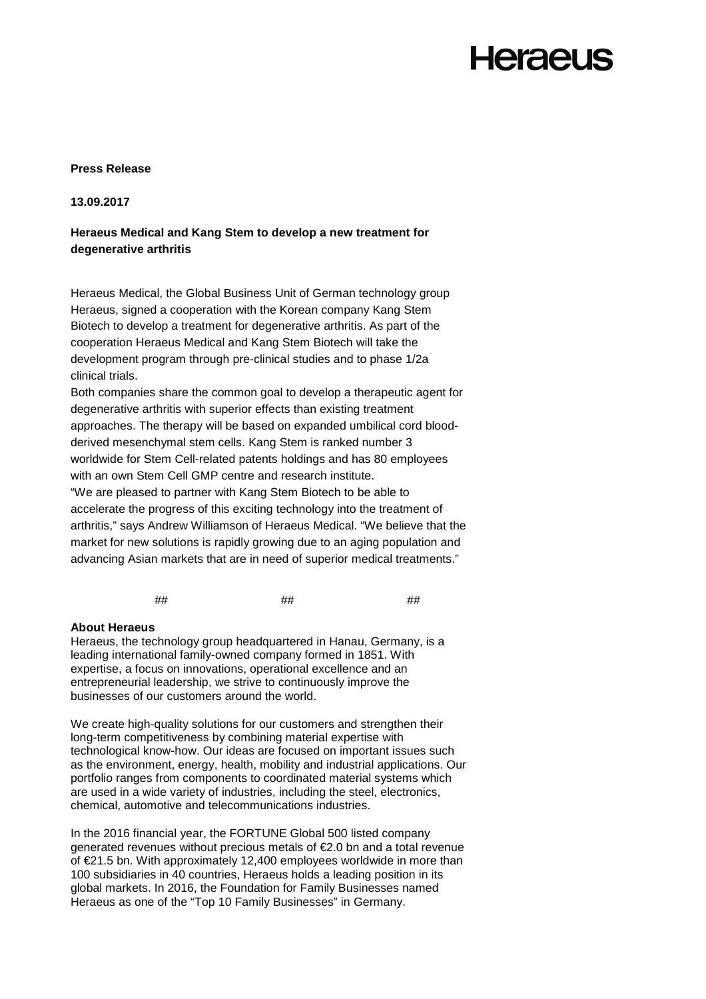## **Herael Is**

### **Press Release**

### **13.09.2017**

## **Heraeus Medical and Kang Stem to develop a new treatment for degenerative arthritis**

Heraeus Medical, the Global Business Unit of German technology group Heraeus, signed a cooperation with the Korean company Kang Stem Biotech to develop a treatment for degenerative arthritis. As part of the cooperation Heraeus Medical and Kang Stem Biotech will take the development program through pre-clinical studies and to phase 1/2a clinical trials.

Both companies share the common goal to develop a therapeutic agent for degenerative arthritis with superior effects than existing treatment approaches. The therapy will be based on expanded umbilical cord bloodderived mesenchymal stem cells. Kang Stem is ranked number 3 worldwide for Stem Cell-related patents holdings and has 80 employees with an own Stem Cell GMP centre and research institute. "We are pleased to partner with Kang Stem Biotech to be able to accelerate the progress of this exciting technology into the treatment of arthritis," says Andrew Williamson of Heraeus Medical. "We believe that the market for new solutions is rapidly growing due to an aging population and advancing Asian markets that are in need of superior medical treatments."

## ## ##

#### **About Heraeus**

Heraeus, the technology group headquartered in Hanau, Germany, is a leading international family-owned company formed in 1851. With expertise, a focus on innovations, operational excellence and an entrepreneurial leadership, we strive to continuously improve the businesses of our customers around the world.

We create high-quality solutions for our customers and strengthen their long-term competitiveness by combining material expertise with technological know-how. Our ideas are focused on important issues such as the environment, energy, health, mobility and industrial applications. Our portfolio ranges from components to coordinated material systems which are used in a wide variety of industries, including the steel, electronics, chemical, automotive and telecommunications industries.

In the 2016 financial year, the FORTUNE Global 500 listed company generated revenues without precious metals of €2.0 bn and a total revenue of €21.5 bn. With approximately 12,400 employees worldwide in more than 100 subsidiaries in 40 countries, Heraeus holds a leading position in its global markets. In 2016, the Foundation for Family Businesses named Heraeus as one of the "Top 10 Family Businesses" in Germany.